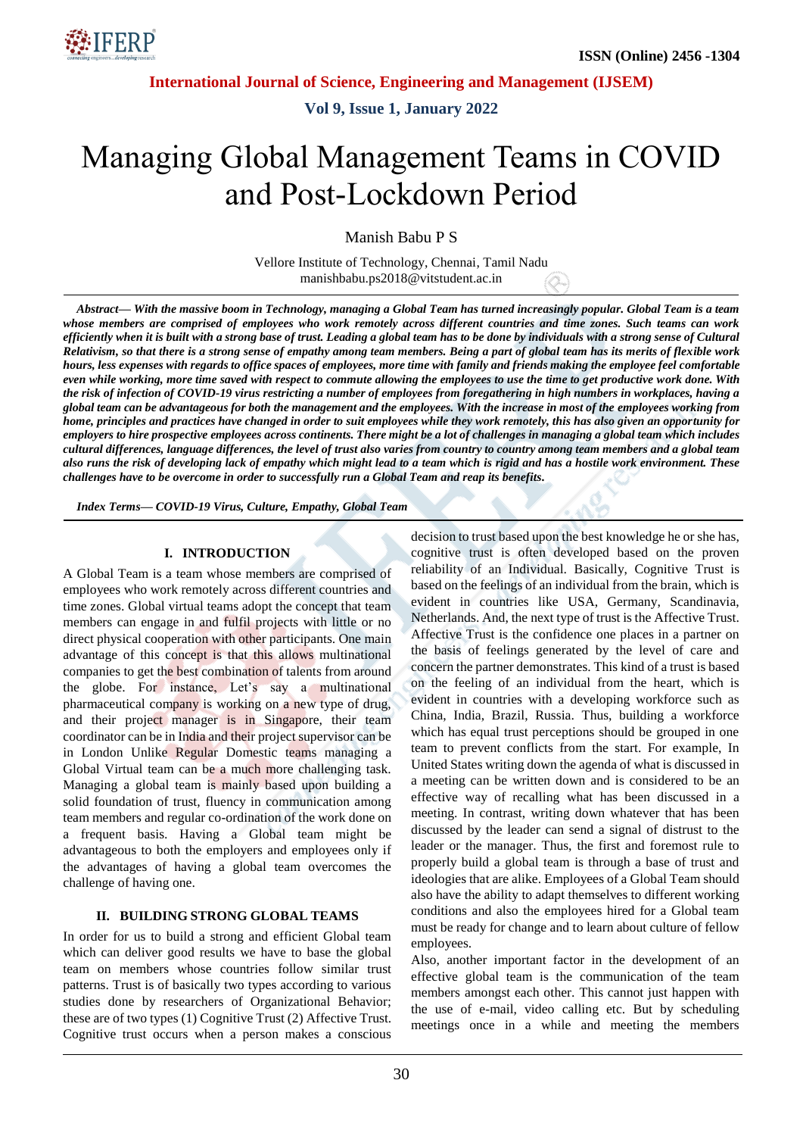**International Journal of Science, Engineering and Management (IJSEM)**

**Vol 9, Issue 1, January 2022**

# Managing Global Management Teams in COVID and Post-Lockdown Period

Manish Babu P S

Vellore Institute of Technology, Chennai, Tamil Nadu manishbabu.ps2018@vitstudent.ac.in

*Abstract— With the massive boom in Technology, managing a Global Team has turned increasingly popular. Global Team is a team whose members are comprised of employees who work remotely across different countries and time zones. Such teams can work efficiently when it is built with a strong base of trust. Leading a global team has to be done by individuals with a strong sense of Cultural Relativism, so that there is a strong sense of empathy among team members. Being a part of global team has its merits of flexible work hours, less expenses with regards to office spaces of employees, more time with family and friends making the employee feel comfortable even while working, more time saved with respect to commute allowing the employees to use the time to get productive work done. With the risk of infection of COVID-19 virus restricting a number of employees from foregathering in high numbers in workplaces, having a global team can be advantageous for both the management and the employees. With the increase in most of the employees working from home, principles and practices have changed in order to suit employees while they work remotely, this has also given an opportunity for employers to hire prospective employees across continents. There might be a lot of challenges in managing a global team which includes cultural differences, language differences, the level of trust also varies from country to country among team members and a global team also runs the risk of developing lack of empathy which might lead to a team which is rigid and has a hostile work environment. These challenges have to be overcome in order to successfully run a Global Team and reap its benefits.*

*Index Terms— COVID-19 Virus, Culture, Empathy, Global Team*

#### **I. INTRODUCTION**

A Global Team is a team whose members are comprised of employees who work remotely across different countries and time zones. Global virtual teams adopt the concept that team members can engage in and fulfil projects with little or no direct physical cooperation with other participants. One main advantage of this concept is that this allows multinational companies to get the best combination of talents from around the globe. For instance, Let's say a multinational pharmaceutical company is working on a new type of drug, and their project manager is in Singapore, their team coordinator can be in India and their project supervisor can be in London Unlike Regular Domestic teams managing a Global Virtual team can be a much more challenging task. Managing a global team is mainly based upon building a solid foundation of trust, fluency in communication among team members and regular co-ordination of the work done on a frequent basis. Having a Global team might be advantageous to both the employers and employees only if the advantages of having a global team overcomes the challenge of having one.

#### **II. BUILDING STRONG GLOBAL TEAMS**

In order for us to build a strong and efficient Global team which can deliver good results we have to base the global team on members whose countries follow similar trust patterns. Trust is of basically two types according to various studies done by researchers of Organizational Behavior; these are of two types (1) Cognitive Trust (2) Affective Trust. Cognitive trust occurs when a person makes a conscious decision to trust based upon the best knowledge he or she has, cognitive trust is often developed based on the proven reliability of an Individual. Basically, Cognitive Trust is based on the feelings of an individual from the brain, which is evident in countries like USA, Germany, Scandinavia, Netherlands. And, the next type of trust is the Affective Trust. Affective Trust is the confidence one places in a partner on the basis of feelings generated by the level of care and concern the partner demonstrates. This kind of a trust is based on the feeling of an individual from the heart, which is evident in countries with a developing workforce such as China, India, Brazil, Russia. Thus, building a workforce which has equal trust perceptions should be grouped in one team to prevent conflicts from the start. For example, In United States writing down the agenda of what is discussed in a meeting can be written down and is considered to be an effective way of recalling what has been discussed in a meeting. In contrast, writing down whatever that has been discussed by the leader can send a signal of distrust to the leader or the manager. Thus, the first and foremost rule to properly build a global team is through a base of trust and ideologies that are alike. Employees of a Global Team should also have the ability to adapt themselves to different working conditions and also the employees hired for a Global team must be ready for change and to learn about culture of fellow employees.

Also, another important factor in the development of an effective global team is the communication of the team members amongst each other. This cannot just happen with the use of e-mail, video calling etc. But by scheduling meetings once in a while and meeting the members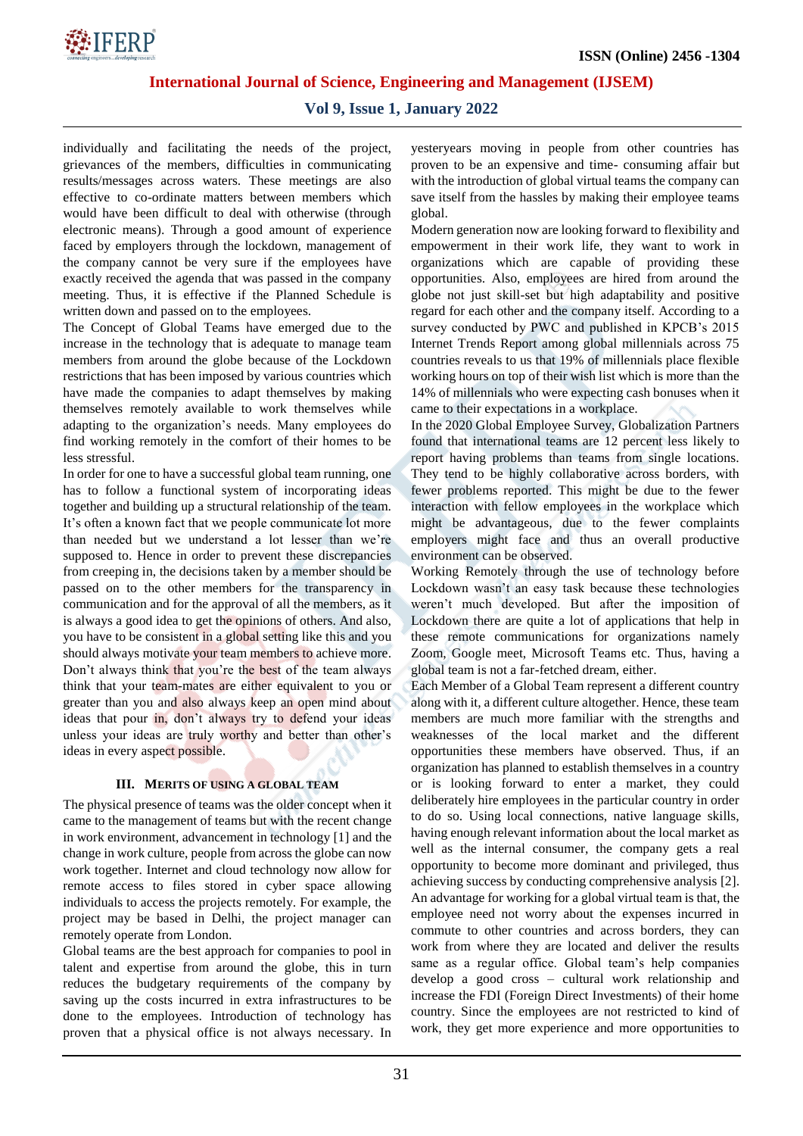

**International Journal of Science, Engineering and Management (IJSEM)**

# **Vol 9, Issue 1, January 2022**

individually and facilitating the needs of the project, grievances of the members, difficulties in communicating results/messages across waters. These meetings are also effective to co-ordinate matters between members which would have been difficult to deal with otherwise (through electronic means). Through a good amount of experience faced by employers through the lockdown, management of the company cannot be very sure if the employees have exactly received the agenda that was passed in the company meeting. Thus, it is effective if the Planned Schedule is written down and passed on to the employees.

The Concept of Global Teams have emerged due to the increase in the technology that is adequate to manage team members from around the globe because of the Lockdown restrictions that has been imposed by various countries which have made the companies to adapt themselves by making themselves remotely available to work themselves while adapting to the organization's needs. Many employees do find working remotely in the comfort of their homes to be less stressful.

In order for one to have a successful global team running, one has to follow a functional system of incorporating ideas together and building up a structural relationship of the team. It's often a known fact that we people communicate lot more than needed but we understand a lot lesser than we're supposed to. Hence in order to prevent these discrepancies from creeping in, the decisions taken by a member should be passed on to the other members for the transparency in communication and for the approval of all the members, as it is always a good idea to get the opinions of others. And also, you have to be consistent in a global setting like this and you should always motivate your team members to achieve more. Don't always think that you're the best of the team always think that your team-mates are either equivalent to you or greater than you and also always keep an open mind about ideas that pour in, don't always try to defend your ideas unless your ideas are truly worthy and better than other's ideas in every aspect possible.

#### **III. MERITS OF USING A GLOBAL TEAM**

The physical presence of teams was the older concept when it came to the management of teams but with the recent change in work environment, advancement in technology [1] and the change in work culture, people from across the globe can now work together. Internet and cloud technology now allow for remote access to files stored in cyber space allowing individuals to access the projects remotely. For example, the project may be based in Delhi, the project manager can remotely operate from London.

Global teams are the best approach for companies to pool in talent and expertise from around the globe, this in turn reduces the budgetary requirements of the company by saving up the costs incurred in extra infrastructures to be done to the employees. Introduction of technology has proven that a physical office is not always necessary. In yesteryears moving in people from other countries has proven to be an expensive and time- consuming affair but with the introduction of global virtual teams the company can save itself from the hassles by making their employee teams global.

Modern generation now are looking forward to flexibility and empowerment in their work life, they want to work in organizations which are capable of providing these opportunities. Also, employees are hired from around the globe not just skill-set but high adaptability and positive regard for each other and the company itself. According to a survey conducted by PWC and published in KPCB's 2015 Internet Trends Report among global millennials across 75 countries reveals to us that 19% of millennials place flexible working hours on top of their wish list which is more than the 14% of millennials who were expecting cash bonuses when it came to their expectations in a workplace.

In the 2020 Global Employee Survey, Globalization Partners found that international teams are 12 percent less likely to report having problems than teams from single locations. They tend to be highly collaborative across borders, with fewer problems reported. This might be due to the fewer interaction with fellow employees in the workplace which might be advantageous, due to the fewer complaints employers might face and thus an overall productive environment can be observed.

Working Remotely through the use of technology before Lockdown wasn't an easy task because these technologies weren't much developed. But after the imposition of Lockdown there are quite a lot of applications that help in these remote communications for organizations namely Zoom, Google meet, Microsoft Teams etc. Thus, having a global team is not a far-fetched dream, either.

Each Member of a Global Team represent a different country along with it, a different culture altogether. Hence, these team members are much more familiar with the strengths and weaknesses of the local market and the different opportunities these members have observed. Thus, if an organization has planned to establish themselves in a country or is looking forward to enter a market, they could deliberately hire employees in the particular country in order to do so. Using local connections, native language skills, having enough relevant information about the local market as well as the internal consumer, the company gets a real opportunity to become more dominant and privileged, thus achieving success by conducting comprehensive analysis [2]. An advantage for working for a global virtual team is that, the employee need not worry about the expenses incurred in commute to other countries and across borders, they can work from where they are located and deliver the results same as a regular office. Global team's help companies develop a good cross – cultural work relationship and increase the FDI (Foreign Direct Investments) of their home country. Since the employees are not restricted to kind of work, they get more experience and more opportunities to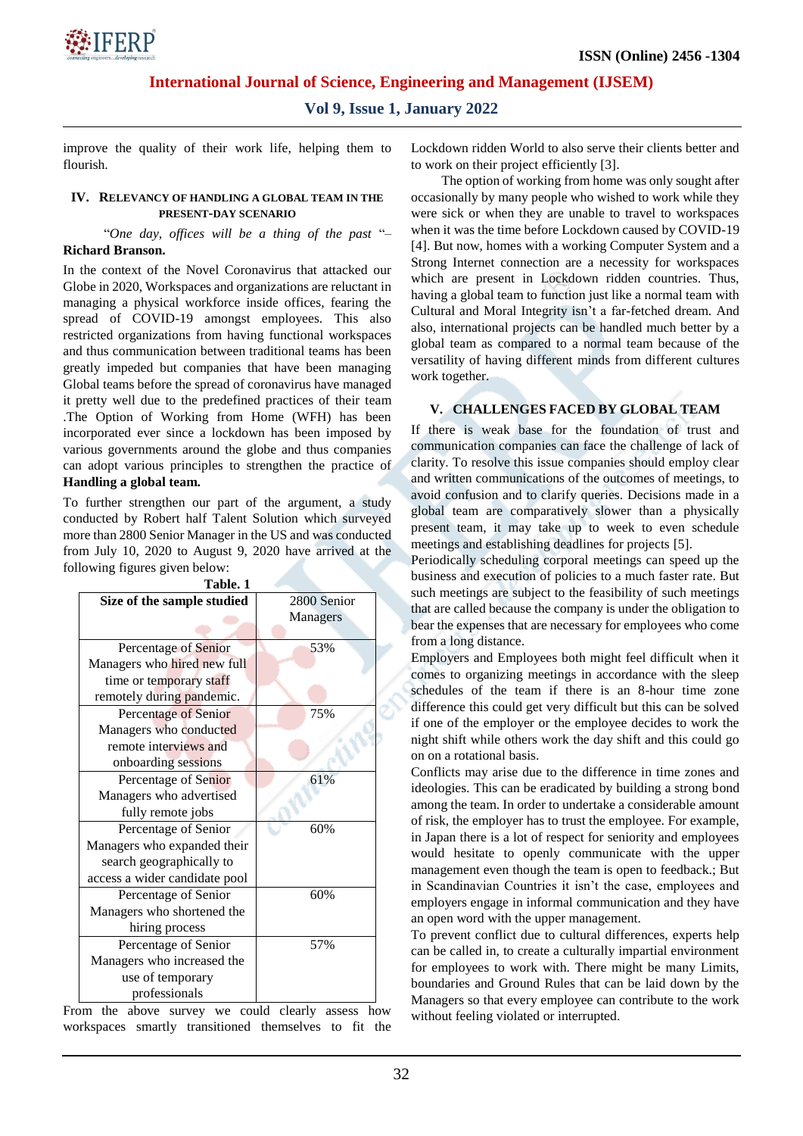

**International Journal of Science, Engineering and Management (IJSEM)**

**Vol 9, Issue 1, January 2022**

improve the quality of their work life, helping them to flourish.

#### **IV. RELEVANCY OF HANDLING A GLOBAL TEAM IN THE PRESENT-DAY SCENARIO**

#### "*One day, offices will be a thing of the past* "– **Richard Branson.**

In the context of the Novel Coronavirus that attacked our Globe in 2020, Workspaces and organizations are reluctant in managing a physical workforce inside offices, fearing the spread of COVID-19 amongst employees. This also restricted organizations from having functional workspaces and thus communication between traditional teams has been greatly impeded but companies that have been managing Global teams before the spread of coronavirus have managed it pretty well due to the predefined practices of their team .The Option of Working from Home (WFH) has been incorporated ever since a lockdown has been imposed by various governments around the globe and thus companies can adopt various principles to strengthen the practice of **Handling a global team.**

To further strengthen our part of the argument, a study conducted by Robert half Talent Solution which surveyed more than 2800 Senior Manager in the US and was conducted from July 10, 2020 to August 9, 2020 have arrived at the following figures given below:

| Table. 1                      |             |
|-------------------------------|-------------|
| Size of the sample studied    | 2800 Senior |
|                               | Managers    |
|                               |             |
| Percentage of Senior          | 53%         |
| Managers who hired new full   |             |
| time or temporary staff       |             |
| remotely during pandemic.     |             |
| <b>Percentage of Senior</b>   | 75%         |
| Managers who conducted        |             |
| remote interviews and         |             |
| onboarding sessions           |             |
| Percentage of Senior          | 61%         |
| Managers who advertised       |             |
| fully remote jobs             |             |
| Percentage of Senior          | 60%         |
| Managers who expanded their   |             |
| search geographically to      |             |
| access a wider candidate pool |             |
| Percentage of Senior          | 60%         |
| Managers who shortened the    |             |
| hiring process                |             |
| Percentage of Senior          | 57%         |
| Managers who increased the    |             |
| use of temporary              |             |
| professionals                 |             |

From the above survey we could clearly assess how workspaces smartly transitioned themselves to fit the

Lockdown ridden World to also serve their clients better and to work on their project efficiently [3].

 The option of working from home was only sought after occasionally by many people who wished to work while they were sick or when they are unable to travel to workspaces when it was the time before Lockdown caused by COVID-19 [4]. But now, homes with a working Computer System and a Strong Internet connection are a necessity for workspaces which are present in Lockdown ridden countries. Thus, having a global team to function just like a normal team with Cultural and Moral Integrity isn't a far-fetched dream. And also, international projects can be handled much better by a global team as compared to a normal team because of the versatility of having different minds from different cultures work together.

## **V. CHALLENGES FACED BY GLOBAL TEAM**

If there is weak base for the foundation of trust and communication companies can face the challenge of lack of clarity. To resolve this issue companies should employ clear and written communications of the outcomes of meetings, to avoid confusion and to clarify queries. Decisions made in a global team are comparatively slower than a physically present team, it may take up to week to even schedule meetings and establishing deadlines for projects [5].

Periodically scheduling corporal meetings can speed up the business and execution of policies to a much faster rate. But such meetings are subject to the feasibility of such meetings that are called because the company is under the obligation to bear the expenses that are necessary for employees who come from a long distance.

Employers and Employees both might feel difficult when it comes to organizing meetings in accordance with the sleep schedules of the team if there is an 8-hour time zone difference this could get very difficult but this can be solved if one of the employer or the employee decides to work the night shift while others work the day shift and this could go on on a rotational basis.

Conflicts may arise due to the difference in time zones and ideologies. This can be eradicated by building a strong bond among the team. In order to undertake a considerable amount of risk, the employer has to trust the employee. For example, in Japan there is a lot of respect for seniority and employees would hesitate to openly communicate with the upper management even though the team is open to feedback.; But in Scandinavian Countries it isn't the case, employees and employers engage in informal communication and they have an open word with the upper management.

To prevent conflict due to cultural differences, experts help can be called in, to create a culturally impartial environment for employees to work with. There might be many Limits, boundaries and Ground Rules that can be laid down by the Managers so that every employee can contribute to the work without feeling violated or interrupted.